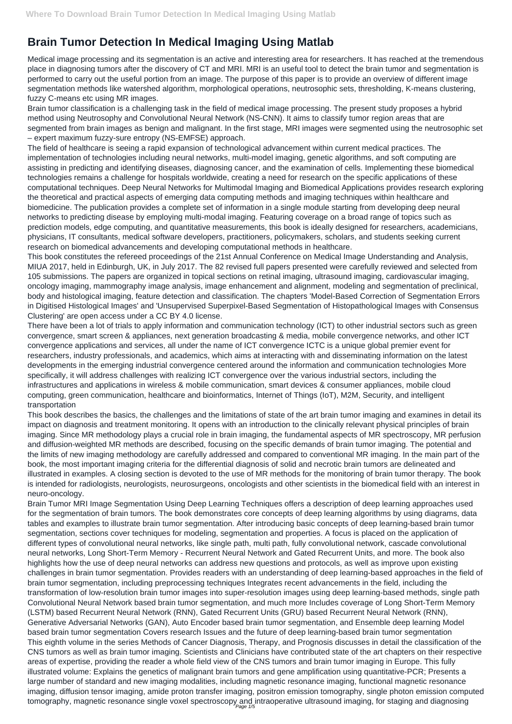## **Brain Tumor Detection In Medical Imaging Using Matlab**

Medical image processing and its segmentation is an active and interesting area for researchers. It has reached at the tremendous place in diagnosing tumors after the discovery of CT and MRI. MRI is an useful tool to detect the brain tumor and segmentation is performed to carry out the useful portion from an image. The purpose of this paper is to provide an overview of different image segmentation methods like watershed algorithm, morphological operations, neutrosophic sets, thresholding, K-means clustering, fuzzy C-means etc using MR images.

Brain tumor classification is a challenging task in the field of medical image processing. The present study proposes a hybrid method using Neutrosophy and Convolutional Neural Network (NS-CNN). It aims to classify tumor region areas that are segmented from brain images as benign and malignant. In the first stage, MRI images were segmented using the neutrosophic set – expert maximum fuzzy-sure entropy (NS-EMFSE) approach.

The field of healthcare is seeing a rapid expansion of technological advancement within current medical practices. The implementation of technologies including neural networks, multi-model imaging, genetic algorithms, and soft computing are assisting in predicting and identifying diseases, diagnosing cancer, and the examination of cells. Implementing these biomedical technologies remains a challenge for hospitals worldwide, creating a need for research on the specific applications of these computational techniques. Deep Neural Networks for Multimodal Imaging and Biomedical Applications provides research exploring the theoretical and practical aspects of emerging data computing methods and imaging techniques within healthcare and biomedicine. The publication provides a complete set of information in a single module starting from developing deep neural networks to predicting disease by employing multi-modal imaging. Featuring coverage on a broad range of topics such as prediction models, edge computing, and quantitative measurements, this book is ideally designed for researchers, academicians, physicians, IT consultants, medical software developers, practitioners, policymakers, scholars, and students seeking current research on biomedical advancements and developing computational methods in healthcare.

Brain Tumor MRI Image Segmentation Using Deep Learning Techniques offers a description of deep learning approaches used for the segmentation of brain tumors. The book demonstrates core concepts of deep learning algorithms by using diagrams, data tables and examples to illustrate brain tumor segmentation. After introducing basic concepts of deep learning-based brain tumor segmentation, sections cover techniques for modeling, segmentation and properties. A focus is placed on the application of different types of convolutional neural networks, like single path, multi path, fully convolutional network, cascade convolutional neural networks, Long Short-Term Memory - Recurrent Neural Network and Gated Recurrent Units, and more. The book also highlights how the use of deep neural networks can address new questions and protocols, as well as improve upon existing challenges in brain tumor segmentation. Provides readers with an understanding of deep learning-based approaches in the field of brain tumor segmentation, including preprocessing techniques Integrates recent advancements in the field, including the transformation of low-resolution brain tumor images into super-resolution images using deep learning-based methods, single path Convolutional Neural Network based brain tumor segmentation, and much more Includes coverage of Long Short-Term Memory (LSTM) based Recurrent Neural Network (RNN), Gated Recurrent Units (GRU) based Recurrent Neural Network (RNN), Generative Adversarial Networks (GAN), Auto Encoder based brain tumor segmentation, and Ensemble deep learning Model based brain tumor segmentation Covers research Issues and the future of deep learning-based brain tumor segmentation This eighth volume in the series Methods of Cancer Diagnosis, Therapy, and Prognosis discusses in detail the classification of the CNS tumors as well as brain tumor imaging. Scientists and Clinicians have contributed state of the art chapters on their respective areas of expertise, providing the reader a whole field view of the CNS tumors and brain tumor imaging in Europe. This fully illustrated volume: Explains the genetics of malignant brain tumors and gene amplification using quantitative-PCR; Presents a large number of standard and new imaging modalities, including magnetic resonance imaging, functional magnetic resonance imaging, diffusion tensor imaging, amide proton transfer imaging, positron emission tomography, single photon emission computed tomography, magnetic resonance single voxel spectroscopy and intraoperative ultrasound imaging, for staging and diagnosing

This book constitutes the refereed proceedings of the 21st Annual Conference on Medical Image Understanding and Analysis, MIUA 2017, held in Edinburgh, UK, in July 2017. The 82 revised full papers presented were carefully reviewed and selected from 105 submissions. The papers are organized in topical sections on retinal imaging, ultrasound imaging, cardiovascular imaging, oncology imaging, mammography image analysis, image enhancement and alignment, modeling and segmentation of preclinical, body and histological imaging, feature detection and classification. The chapters 'Model-Based Correction of Segmentation Errors in Digitised Histological Images' and 'Unsupervised Superpixel-Based Segmentation of Histopathological Images with Consensus Clustering' are open access under a CC BY 4.0 license.

There have been a lot of trials to apply information and communication technology (ICT) to other industrial sectors such as green convergence, smart screen & appliances, next generation broadcasting & media, mobile convergence networks, and other ICT convergence applications and services, all under the name of ICT convergence ICTC is a unique global premier event for researchers, industry professionals, and academics, which aims at interacting with and disseminating information on the latest developments in the emerging industrial convergence centered around the information and communication technologies More specifically, it will address challenges with realizing ICT convergence over the various industrial sectors, including the infrastructures and applications in wireless & mobile communication, smart devices & consumer appliances, mobile cloud computing, green communication, healthcare and bioinformatics, Internet of Things (IoT), M2M, Security, and intelligent transportation

This book describes the basics, the challenges and the limitations of state of the art brain tumor imaging and examines in detail its impact on diagnosis and treatment monitoring. It opens with an introduction to the clinically relevant physical principles of brain imaging. Since MR methodology plays a crucial role in brain imaging, the fundamental aspects of MR spectroscopy, MR perfusion and diffusion-weighted MR methods are described, focusing on the specific demands of brain tumor imaging. The potential and the limits of new imaging methodology are carefully addressed and compared to conventional MR imaging. In the main part of the book, the most important imaging criteria for the differential diagnosis of solid and necrotic brain tumors are delineated and illustrated in examples. A closing section is devoted to the use of MR methods for the monitoring of brain tumor therapy. The book is intended for radiologists, neurologists, neurosurgeons, oncologists and other scientists in the biomedical field with an interest in neuro-oncology.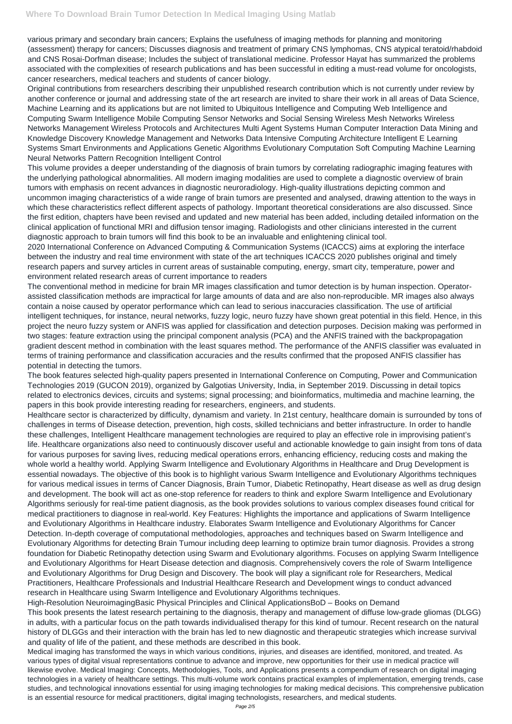various primary and secondary brain cancers; Explains the usefulness of imaging methods for planning and monitoring (assessment) therapy for cancers; Discusses diagnosis and treatment of primary CNS lymphomas, CNS atypical teratoid/rhabdoid and CNS Rosai-Dorfman disease; Includes the subject of translational medicine. Professor Hayat has summarized the problems associated with the complexities of research publications and has been successful in editing a must-read volume for oncologists, cancer researchers, medical teachers and students of cancer biology.

Original contributions from researchers describing their unpublished research contribution which is not currently under review by another conference or journal and addressing state of the art research are invited to share their work in all areas of Data Science, Machine Learning and its applications but are not limited to Ubiquitous Intelligence and Computing Web Intelligence and Computing Swarm Intelligence Mobile Computing Sensor Networks and Social Sensing Wireless Mesh Networks Wireless Networks Management Wireless Protocols and Architectures Multi Agent Systems Human Computer Interaction Data Mining and Knowledge Discovery Knowledge Management and Networks Data Intensive Computing Architecture Intelligent E Learning Systems Smart Environments and Applications Genetic Algorithms Evolutionary Computation Soft Computing Machine Learning Neural Networks Pattern Recognition Intelligent Control

This volume provides a deeper understanding of the diagnosis of brain tumors by correlating radiographic imaging features with the underlying pathological abnormalities. All modern imaging modalities are used to complete a diagnostic overview of brain tumors with emphasis on recent advances in diagnostic neuroradiology. High-quality illustrations depicting common and uncommon imaging characteristics of a wide range of brain tumors are presented and analysed, drawing attention to the ways in which these characteristics reflect different aspects of pathology. Important theoretical considerations are also discussed. Since the first edition, chapters have been revised and updated and new material has been added, including detailed information on the clinical application of functional MRI and diffusion tensor imaging. Radiologists and other clinicians interested in the current diagnostic approach to brain tumors will find this book to be an invaluable and enlightening clinical tool.

2020 International Conference on Advanced Computing & Communication Systems (ICACCS) aims at exploring the interface between the industry and real time environment with state of the art techniques ICACCS 2020 publishes original and timely research papers and survey articles in current areas of sustainable computing, energy, smart city, temperature, power and environment related research areas of current importance to readers

The conventional method in medicine for brain MR images classification and tumor detection is by human inspection. Operatorassisted classification methods are impractical for large amounts of data and are also non-reproducible. MR images also always contain a noise caused by operator performance which can lead to serious inaccuracies classification. The use of artificial intelligent techniques, for instance, neural networks, fuzzy logic, neuro fuzzy have shown great potential in this field. Hence, in this project the neuro fuzzy system or ANFIS was applied for classification and detection purposes. Decision making was performed in two stages: feature extraction using the principal component analysis (PCA) and the ANFIS trained with the backpropagation gradient descent method in combination with the least squares method. The performance of the ANFIS classifier was evaluated in terms of training performance and classification accuracies and the results confirmed that the proposed ANFIS classifier has potential in detecting the tumors.

The book features selected high-quality papers presented in International Conference on Computing, Power and Communication Technologies 2019 (GUCON 2019), organized by Galgotias University, India, in September 2019. Discussing in detail topics related to electronics devices, circuits and systems; signal processing; and bioinformatics, multimedia and machine learning, the papers in this book provide interesting reading for researchers, engineers, and students.

Healthcare sector is characterized by difficulty, dynamism and variety. In 21st century, healthcare domain is surrounded by tons of challenges in terms of Disease detection, prevention, high costs, skilled technicians and better infrastructure. In order to handle these challenges, Intelligent Healthcare management technologies are required to play an effective role in improvising patient's life. Healthcare organizations also need to continuously discover useful and actionable knowledge to gain insight from tons of data for various purposes for saving lives, reducing medical operations errors, enhancing efficiency, reducing costs and making the whole world a healthy world. Applying Swarm Intelligence and Evolutionary Algorithms in Healthcare and Drug Development is essential nowadays. The objective of this book is to highlight various Swarm Intelligence and Evolutionary Algorithms techniques for various medical issues in terms of Cancer Diagnosis, Brain Tumor, Diabetic Retinopathy, Heart disease as well as drug design and development. The book will act as one-stop reference for readers to think and explore Swarm Intelligence and Evolutionary Algorithms seriously for real-time patient diagnosis, as the book provides solutions to various complex diseases found critical for medical practitioners to diagnose in real-world. Key Features: Highlights the importance and applications of Swarm Intelligence and Evolutionary Algorithms in Healthcare industry. Elaborates Swarm Intelligence and Evolutionary Algorithms for Cancer Detection. In-depth coverage of computational methodologies, approaches and techniques based on Swarm Intelligence and Evolutionary Algorithms for detecting Brain Tumour including deep learning to optimize brain tumor diagnosis. Provides a strong foundation for Diabetic Retinopathy detection using Swarm and Evolutionary algorithms. Focuses on applying Swarm Intelligence and Evolutionary Algorithms for Heart Disease detection and diagnosis. Comprehensively covers the role of Swarm Intelligence and Evolutionary Algorithms for Drug Design and Discovery. The book will play a significant role for Researchers, Medical Practitioners, Healthcare Professionals and Industrial Healthcare Research and Development wings to conduct advanced research in Healthcare using Swarm Intelligence and Evolutionary Algorithms techniques. High-Resolution NeuroimagingBasic Physical Principles and Clinical ApplicationsBoD – Books on Demand This book presents the latest research pertaining to the diagnosis, therapy and management of diffuse low-grade gliomas (DLGG) in adults, with a particular focus on the path towards individualised therapy for this kind of tumour. Recent research on the natural history of DLGGs and their interaction with the brain has led to new diagnostic and therapeutic strategies which increase survival and quality of life of the patient, and these methods are described in this book. Medical imaging has transformed the ways in which various conditions, injuries, and diseases are identified, monitored, and treated. As various types of digital visual representations continue to advance and improve, new opportunities for their use in medical practice will likewise evolve. Medical Imaging: Concepts, Methodologies, Tools, and Applications presents a compendium of research on digital imaging technologies in a variety of healthcare settings. This multi-volume work contains practical examples of implementation, emerging trends, case studies, and technological innovations essential for using imaging technologies for making medical decisions. This comprehensive publication is an essential resource for medical practitioners, digital imaging technologists, researchers, and medical students.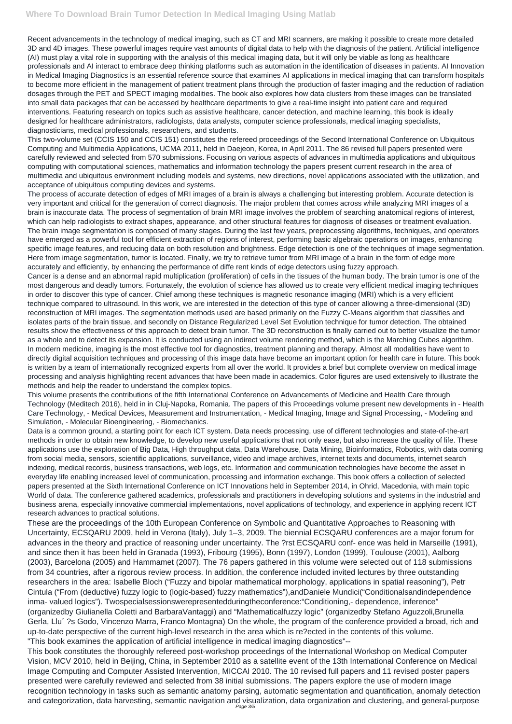Recent advancements in the technology of medical imaging, such as CT and MRI scanners, are making it possible to create more detailed 3D and 4D images. These powerful images require vast amounts of digital data to help with the diagnosis of the patient. Artificial intelligence (AI) must play a vital role in supporting with the analysis of this medical imaging data, but it will only be viable as long as healthcare professionals and AI interact to embrace deep thinking platforms such as automation in the identification of diseases in patients. AI Innovation in Medical Imaging Diagnostics is an essential reference source that examines AI applications in medical imaging that can transform hospitals to become more efficient in the management of patient treatment plans through the production of faster imaging and the reduction of radiation dosages through the PET and SPECT imaging modalities. The book also explores how data clusters from these images can be translated into small data packages that can be accessed by healthcare departments to give a real-time insight into patient care and required interventions. Featuring research on topics such as assistive healthcare, cancer detection, and machine learning, this book is ideally designed for healthcare administrators, radiologists, data analysts, computer science professionals, medical imaging specialists, diagnosticians, medical professionals, researchers, and students.

This two-volume set (CCIS 150 and CCIS 151) constitutes the refereed proceedings of the Second International Conference on Ubiquitous Computing and Multimedia Applications, UCMA 2011, held in Daejeon, Korea, in April 2011. The 86 revised full papers presented were carefully reviewed and selected from 570 submissions. Focusing on various aspects of advances in multimedia applications and ubiquitous computing with computational sciences, mathematics and information technology the papers present current research in the area of multimedia and ubiquitous environment including models and systems, new directions, novel applications associated with the utilization, and acceptance of ubiquitous computing devices and systems.

The process of accurate detection of edges of MRI images of a brain is always a challenging but interesting problem. Accurate detection is very important and critical for the generation of correct diagnosis. The major problem that comes across while analyzing MRI images of a brain is inaccurate data. The process of segmentation of brain MRI image involves the problem of searching anatomical regions of interest, which can help radiologists to extract shapes, appearance, and other structural features for diagnosis of diseases or treatment evaluation. The brain image segmentation is composed of many stages. During the last few years, preprocessing algorithms, techniques, and operators have emerged as a powerful tool for efficient extraction of regions of interest, performing basic algebraic operations on images, enhancing specific image features, and reducing data on both resolution and brightness. Edge detection is one of the techniques of image segmentation. Here from image segmentation, tumor is located. Finally, we try to retrieve tumor from MRI image of a brain in the form of edge more accurately and efficiently, by enhancing the performance of diffe rent kinds of edge detectors using fuzzy approach.

Cancer is a dense and an abnormal rapid multiplication (proliferation) of cells in the tissues of the human body. The brain tumor is one of the most dangerous and deadly tumors. Fortunately, the evolution of science has allowed us to create very efficient medical imaging techniques in order to discover this type of cancer. Chief among these techniques is magnetic resonance imaging (MRI) which is a very efficient technique compared to ultrasound. In this work, we are interested in the detection of this type of cancer allowing a three-dimensional (3D) reconstruction of MRI images. The segmentation methods used are based primarily on the Fuzzy C-Means algorithm that classifies and isolates parts of the brain tissue, and secondly on Distance Regularized Level Set Evolution technique for tumor detection. The obtained results show the effectiveness of this approach to detect brain tumor. The 3D reconstruction is finally carried out to better visualize the tumor as a whole and to detect its expansion. It is conducted using an indirect volume rendering method, which is the Marching Cubes algorithm. In modern medicine, imaging is the most effective tool for diagnostics, treatment planning and therapy. Almost all modalities have went to directly digital acquisition techniques and processing of this image data have become an important option for health care in future. This book is written by a team of internationally recognized experts from all over the world. It provides a brief but complete overview on medical image processing and analysis highlighting recent advances that have been made in academics. Color figures are used extensively to illustrate the methods and help the reader to understand the complex topics.

This volume presents the contributions of the fifth International Conference on Advancements of Medicine and Health Care through Technology (Meditech 2016), held in in Cluj-Napoka, Romania. The papers of this Proceedings volume present new developments in - Health Care Technology, - Medical Devices, Measurement and Instrumentation, - Medical Imaging, Image and Signal Processing, - Modeling and Simulation, - Molecular Bioengineering, - Biomechanics.

Data is a common ground, a starting point for each ICT system. Data needs processing, use of different technologies and state-of-the-art methods in order to obtain new knowledge, to develop new useful applications that not only ease, but also increase the quality of life. These applications use the exploration of Big Data, High throughput data, Data Warehouse, Data Mining, Bioinformatics, Robotics, with data coming from social media, sensors, scientific applications, surveillance, video and image archives, internet texts and documents, internet search indexing, medical records, business transactions, web logs, etc. Information and communication technologies have become the asset in everyday life enabling increased level of communication, processing and information exchange. This book offers a collection of selected papers presented at the Sixth International Conference on ICT Innovations held in September 2014, in Ohrid, Macedonia, with main topic World of data. The conference gathered academics, professionals and practitioners in developing solutions and systems in the industrial and business arena, especially innovative commercial implementations, novel applications of technology, and experience in applying recent ICT research advances to practical solutions.

These are the proceedings of the 10th European Conference on Symbolic and Quantitative Approaches to Reasoning with Uncertainty, ECSQARU 2009, held in Verona (Italy), July 1–3, 2009. The biennial ECSQARU conferences are a major forum for advances in the theory and practice of reasoning under uncertainty. The ?rst ECSQARU conf- ence was held in Marseille (1991),

and since then it has been held in Granada (1993), Fribourg (1995), Bonn (1997), London (1999), Toulouse (2001), Aalborg (2003), Barcelona (2005) and Hammamet (2007). The 76 papers gathered in this volume were selected out of 118 submissions from 34 countries, after a rigorous review process. In addition, the conference included invited lectures by three outstanding researchers in the area: Isabelle Bloch ("Fuzzy and bipolar mathematical morphology, applications in spatial reasoning"), Petr Cintula ("From (deductive) fuzzy logic to (logic-based) fuzzy mathematics"),andDaniele Mundici("Conditionalsandindependence inma- valued logics"). Twospecialsessionswerepresentedduringtheconference:"Conditioning,- dependence, inference" (organizedby Giulianella Coletti and BarbaraVantaggi) and "Mathematicalfuzzy logic" (organizedby Stefano Aguzzoli,Brunella Gerla, Llu´ ?s Godo, Vincenzo Marra, Franco Montagna) On the whole, the program of the conference provided a broad, rich and up-to-date perspective of the current high-level research in the area which is re?ected in the contents of this volume. "This book examines the application of artificial intelligence in medical imaging diagnostics"-- This book constitutes the thoroughly refereed post-workshop proceedings of the International Workshop on Medical Computer Vision, MCV 2010, held in Beijing, China, in September 2010 as a satellite event of the 13th International Conference on Medical Image Computing and Computer Assisted Intervention, MICCAI 2010. The 10 revised full papers and 11 revised poster papers presented were carefully reviewed and selected from 38 initial submissions. The papers explore the use of modern image recognition technology in tasks such as semantic anatomy parsing, automatic segmentation and quantification, anomaly detection and categorization, data harvesting, semantic navigation and visualization, data organization and clustering, and general-purpose Page 3/5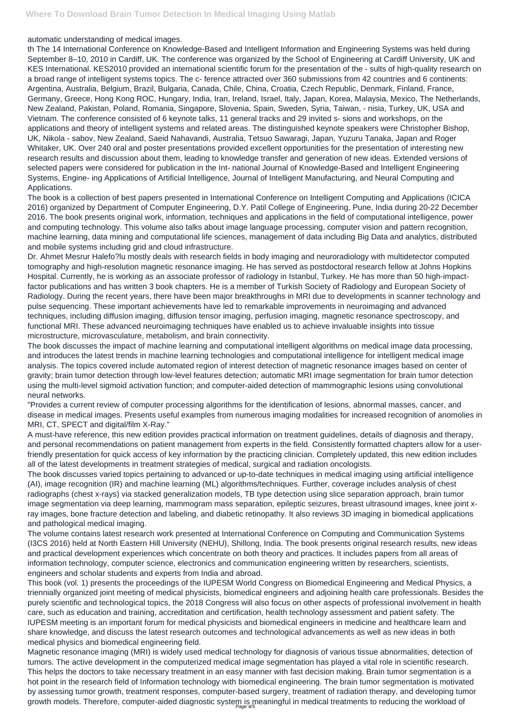## automatic understanding of medical images.

th The 14 International Conference on Knowledge-Based and Intelligent Information and Engineering Systems was held during September 8–10, 2010 in Cardiff, UK. The conference was organized by the School of Engineering at Cardiff University, UK and KES International. KES2010 provided an international scientific forum for the presentation of the - sults of high-quality research on a broad range of intelligent systems topics. The c- ference attracted over 360 submissions from 42 countries and 6 continents: Argentina, Australia, Belgium, Brazil, Bulgaria, Canada, Chile, China, Croatia, Czech Republic, Denmark, Finland, France, Germany, Greece, Hong Kong ROC, Hungary, India, Iran, Ireland, Israel, Italy, Japan, Korea, Malaysia, Mexico, The Netherlands, New Zealand, Pakistan, Poland, Romania, Singapore, Slovenia, Spain, Sweden, Syria, Taiwan, - nisia, Turkey, UK, USA and Vietnam. The conference consisted of 6 keynote talks, 11 general tracks and 29 invited s- sions and workshops, on the applications and theory of intelligent systems and related areas. The distinguished keynote speakers were Christopher Bishop, UK, Nikola - sabov, New Zealand, Saeid Nahavandi, Australia, Tetsuo Sawaragi, Japan, Yuzuru Tanaka, Japan and Roger Whitaker, UK. Over 240 oral and poster presentations provided excellent opportunities for the presentation of interesting new research results and discussion about them, leading to knowledge transfer and generation of new ideas. Extended versions of selected papers were considered for publication in the Int- national Journal of Knowledge-Based and Intelligent Engineering Systems, Engine- ing Applications of Artificial Intelligence, Journal of Intelligent Manufacturing, and Neural Computing and Applications.

The book is a collection of best papers presented in International Conference on Intelligent Computing and Applications (ICICA 2016) organized by Department of Computer Engineering, D.Y. Patil College of Engineering, Pune, India during 20-22 December 2016. The book presents original work, information, techniques and applications in the field of computational intelligence, power and computing technology. This volume also talks about image language processing, computer vision and pattern recognition, machine learning, data mining and computational life sciences, management of data including Big Data and analytics, distributed and mobile systems including grid and cloud infrastructure.

Dr. Ahmet Mesrur Halefo?lu mostly deals with research fields in body imaging and neuroradiology with multidetector computed tomography and high-resolution magnetic resonance imaging. He has served as postdoctoral research fellow at Johns Hopkins Hospital. Currently, he is working as an associate professor of radiology in Istanbul, Turkey. He has more than 50 high-impactfactor publications and has written 3 book chapters. He is a member of Turkish Society of Radiology and European Society of Radiology. During the recent years, there have been major breakthroughs in MRI due to developments in scanner technology and pulse sequencing. These important achievements have led to remarkable improvements in neuroimaging and advanced techniques, including diffusion imaging, diffusion tensor imaging, perfusion imaging, magnetic resonance spectroscopy, and functional MRI. These advanced neuroimaging techniques have enabled us to achieve invaluable insights into tissue microstructure, microvasculature, metabolism, and brain connectivity.

Magnetic resonance imaging (MRI) is widely used medical technology for diagnosis of various tissue abnormalities, detection of tumors. The active development in the computerized medical image segmentation has played a vital role in scientific research. This helps the doctors to take necessary treatment in an easy manner with fast decision making. Brain tumor segmentation is a hot point in the research field of Information technology with biomedical engineering. The brain tumor segmentation is motivated by assessing tumor growth, treatment responses, computer-based surgery, treatment of radiation therapy, and developing tumor growth models. Therefore, computer-aided diagnostic system is meaningful in medical treatments to reducing the workload of

The book discusses the impact of machine learning and computational intelligent algorithms on medical image data processing, and introduces the latest trends in machine learning technologies and computational intelligence for intelligent medical image analysis. The topics covered include automated region of interest detection of magnetic resonance images based on center of gravity; brain tumor detection through low-level features detection; automatic MRI image segmentation for brain tumor detection using the multi-level sigmoid activation function; and computer-aided detection of mammographic lesions using convolutional neural networks.

"Provides a current review of computer processing algorithms for the identification of lesions, abnormal masses, cancer, and disease in medical images. Presents useful examples from numerous imaging modalities for increased recognition of anomolies in MRI, CT, SPECT and digital/film X-Ray."

A must-have reference, this new edition provides practical information on treatment guidelines, details of diagnosis and therapy, and personal recommendations on patient management from experts in the field. Consistently formatted chapters allow for a userfriendly presentation for quick access of key information by the practicing clinician. Completely updated, this new edition includes all of the latest developments in treatment strategies of medical, surgical and radiation oncologists.

The book discusses varied topics pertaining to advanced or up-to-date techniques in medical imaging using artificial intelligence (AI), image recognition (IR) and machine learning (ML) algorithms/techniques. Further, coverage includes analysis of chest radiographs (chest x-rays) via stacked generalization models, TB type detection using slice separation approach, brain tumor image segmentation via deep learning, mammogram mass separation, epileptic seizures, breast ultrasound images, knee joint xray images, bone fracture detection and labeling, and diabetic retinopathy. It also reviews 3D imaging in biomedical applications and pathological medical imaging.

The volume contains latest research work presented at International Conference on Computing and Communication Systems (I3CS 2016) held at North Eastern Hill University (NEHU), Shillong, India. The book presents original research results, new ideas

and practical development experiences which concentrate on both theory and practices. It includes papers from all areas of information technology, computer science, electronics and communication engineering written by researchers, scientists, engineers and scholar students and experts from India and abroad.

This book (vol. 1) presents the proceedings of the IUPESM World Congress on Biomedical Engineering and Medical Physics, a triennially organized joint meeting of medical physicists, biomedical engineers and adjoining health care professionals. Besides the purely scientific and technological topics, the 2018 Congress will also focus on other aspects of professional involvement in health care, such as education and training, accreditation and certification, health technology assessment and patient safety. The IUPESM meeting is an important forum for medical physicists and biomedical engineers in medicine and healthcare learn and share knowledge, and discuss the latest research outcomes and technological advancements as well as new ideas in both medical physics and biomedical engineering field.